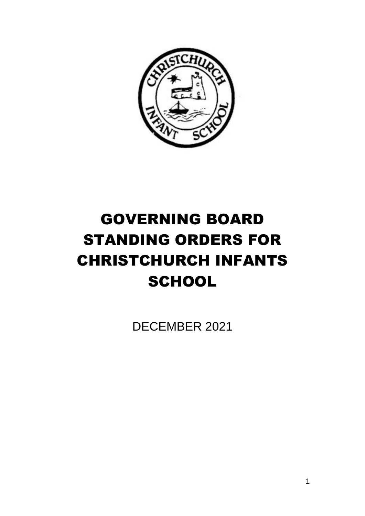

# GOVERNING BOARD STANDING ORDERS FOR CHRISTCHURCH INFANTS **SCHOOL**

DECEMBER 2021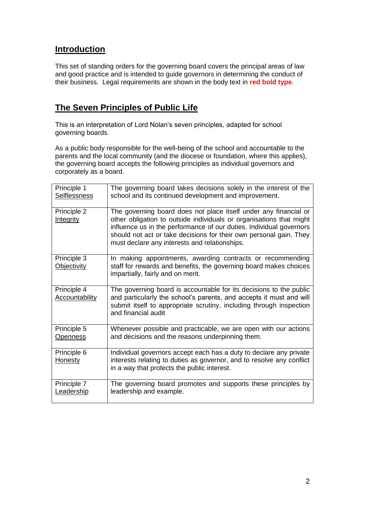# **Introduction**

This set of standing orders for the governing board covers the principal areas of law and good practice and is intended to guide governors in determining the conduct of their business. Legal requirements are shown in the body text in **red bold type**.

# **The Seven Principles of Public Life**

This is an interpretation of Lord Nolan's seven principles, adapted for school governing boards.

As a public body responsible for the well-being of the school and accountable to the parents and the local community (and the diocese or foundation, where this applies), the governing board accepts the following principles as individual governors and corporately as a board.

| Principle 1<br><b>Selflessness</b>   | The governing board takes decisions solely in the interest of the<br>school and its continued development and improvement.                                                                                                                                                                                                            |
|--------------------------------------|---------------------------------------------------------------------------------------------------------------------------------------------------------------------------------------------------------------------------------------------------------------------------------------------------------------------------------------|
| Principle 2<br><b>Integrity</b>      | The governing board does not place itself under any financial or<br>other obligation to outside individuals or organisations that might<br>influence us in the performance of our duties. Individual governors<br>should not act or take decisions for their own personal gain. They<br>must declare any interests and relationships. |
| Principle 3<br><b>Objectivity</b>    | In making appointments, awarding contracts or recommending<br>staff for rewards and benefits, the governing board makes choices<br>impartially, fairly and on merit.                                                                                                                                                                  |
| Principle 4<br><b>Accountability</b> | The governing board is accountable for its decisions to the public<br>and particularly the school's parents, and accepts it must and will<br>submit itself to appropriate scrutiny, including through inspection<br>and financial audit                                                                                               |
| Principle 5<br><b>Openness</b>       | Whenever possible and practicable, we are open with our actions<br>and decisions and the reasons underpinning them.                                                                                                                                                                                                                   |
| Principle 6<br><u>Honesty</u>        | Individual governors accept each has a duty to declare any private<br>interests relating to duties as governor, and to resolve any conflict<br>in a way that protects the public interest.                                                                                                                                            |
| Principle 7<br>Leadership            | The governing board promotes and supports these principles by<br>leadership and example.                                                                                                                                                                                                                                              |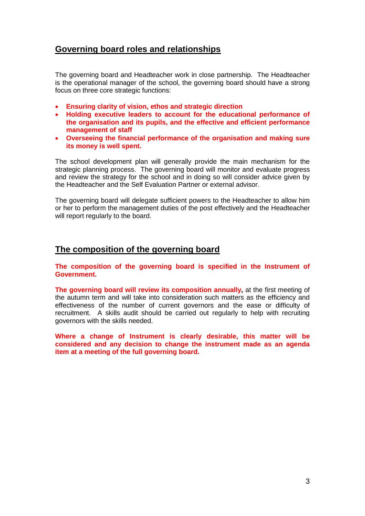# **Governing board roles and relationships**

The governing board and Headteacher work in close partnership. The Headteacher is the operational manager of the school, the governing board should have a strong focus on three core strategic functions:

- **Ensuring clarity of vision, ethos and strategic direction**
- **Holding executive leaders to account for the educational performance of the organisation and its pupils, and the effective and efficient performance management of staff**
- **Overseeing the financial performance of the organisation and making sure its money is well spent.**

The school development plan will generally provide the main mechanism for the strategic planning process. The governing board will monitor and evaluate progress and review the strategy for the school and in doing so will consider advice given by the Headteacher and the Self Evaluation Partner or external advisor.

The governing board will delegate sufficient powers to the Headteacher to allow him or her to perform the management duties of the post effectively and the Headteacher will report regularly to the board.

# **The composition of the governing board**

**The composition of the governing board is specified in the Instrument of Government.** 

**The governing board will review its composition annually,** at the first meeting of the autumn term and will take into consideration such matters as the efficiency and effectiveness of the number of current governors and the ease or difficulty of recruitment. A skills audit should be carried out regularly to help with recruiting governors with the skills needed.

**Where a change of Instrument is clearly desirable, this matter will be considered and any decision to change the instrument made as an agenda item at a meeting of the full governing board.**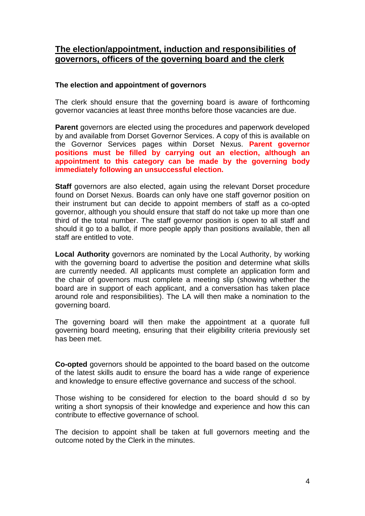# **The election/appointment, induction and responsibilities of governors, officers of the governing board and the clerk**

# **The election and appointment of governors**

The clerk should ensure that the governing board is aware of forthcoming governor vacancies at least three months before those vacancies are due.

**Parent** governors are elected using the procedures and paperwork developed by and available from Dorset Governor Services. A copy of this is available on the Governor Services pages within Dorset Nexus. **Parent governor positions must be filled by carrying out an election, although an appointment to this category can be made by the governing body immediately following an unsuccessful election.**

**Staff** governors are also elected, again using the relevant Dorset procedure found on Dorset Nexus. Boards can only have one staff governor position on their instrument but can decide to appoint members of staff as a co-opted governor, although you should ensure that staff do not take up more than one third of the total number. The staff governor position is open to all staff and should it go to a ballot, if more people apply than positions available, then all staff are entitled to vote.

**Local Authority** governors are nominated by the Local Authority, by working with the governing board to advertise the position and determine what skills are currently needed. All applicants must complete an application form and the chair of governors must complete a meeting slip (showing whether the board are in support of each applicant, and a conversation has taken place around role and responsibilities). The LA will then make a nomination to the governing board.

The governing board will then make the appointment at a quorate full governing board meeting, ensuring that their eligibility criteria previously set has been met.

**Co-opted** governors should be appointed to the board based on the outcome of the latest skills audit to ensure the board has a wide range of experience and knowledge to ensure effective governance and success of the school.

Those wishing to be considered for election to the board should d so by writing a short synopsis of their knowledge and experience and how this can contribute to effective governance of school.

The decision to appoint shall be taken at full governors meeting and the outcome noted by the Clerk in the minutes.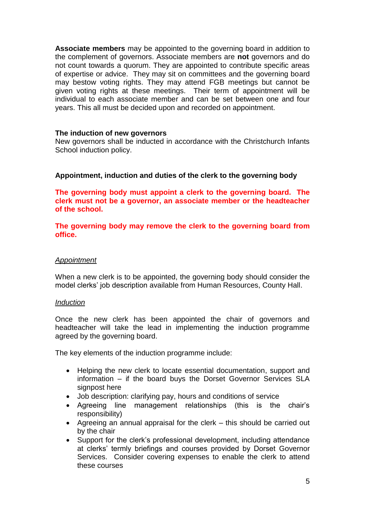**Associate members** may be appointed to the governing board in addition to the complement of governors. Associate members are **not** governors and do not count towards a quorum. They are appointed to contribute specific areas of expertise or advice. They may sit on committees and the governing board may bestow voting rights. They may attend FGB meetings but cannot be given voting rights at these meetings. Their term of appointment will be individual to each associate member and can be set between one and four years. This all must be decided upon and recorded on appointment.

### **The induction of new governors**

New governors shall be inducted in accordance with the Christchurch Infants School induction policy.

## **Appointment, induction and duties of the clerk to the governing body**

**The governing body must appoint a clerk to the governing board. The clerk must not be a governor, an associate member or the headteacher of the school.**

**The governing body may remove the clerk to the governing board from office.**

#### *Appointment*

When a new clerk is to be appointed, the governing body should consider the model clerks' job description available from Human Resources, County Hall.

#### *Induction*

Once the new clerk has been appointed the chair of governors and headteacher will take the lead in implementing the induction programme agreed by the governing board.

The key elements of the induction programme include:

- Helping the new clerk to locate essential documentation, support and information – if the board buys the Dorset Governor Services SLA signpost here
- Job description: clarifying pay, hours and conditions of service
- Agreeing line management relationships (this is the chair's responsibility)
- Agreeing an annual appraisal for the clerk this should be carried out by the chair
- Support for the clerk's professional development, including attendance at clerks' termly briefings and courses provided by Dorset Governor Services. Consider covering expenses to enable the clerk to attend these courses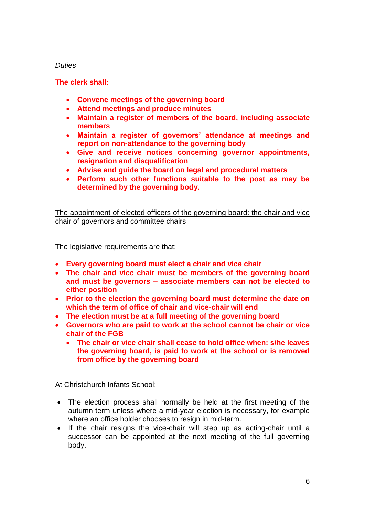# *Duties*

# **The clerk shall:**

- **Convene meetings of the governing board**
- **Attend meetings and produce minutes**
- **Maintain a register of members of the board, including associate members**
- **Maintain a register of governors' attendance at meetings and report on non-attendance to the governing body**
- **Give and receive notices concerning governor appointments, resignation and disqualification**
- **Advise and guide the board on legal and procedural matters**
- **Perform such other functions suitable to the post as may be determined by the governing body.**

The appointment of elected officers of the governing board: the chair and vice chair of governors and committee chairs

The legislative requirements are that:

- **Every governing board must elect a chair and vice chair**
- **The chair and vice chair must be members of the governing board and must be governors – associate members can not be elected to either position**
- **Prior to the election the governing board must determine the date on which the term of office of chair and vice-chair will end**
- **The election must be at a full meeting of the governing board**
- **Governors who are paid to work at the school cannot be chair or vice chair of the FGB**
	- **The chair or vice chair shall cease to hold office when: s/he leaves the governing board, is paid to work at the school or is removed from office by the governing board**

At Christchurch Infants School;

- The election process shall normally be held at the first meeting of the autumn term unless where a mid-year election is necessary, for example where an office holder chooses to resign in mid-term.
- If the chair resigns the vice-chair will step up as acting-chair until a successor can be appointed at the next meeting of the full governing body.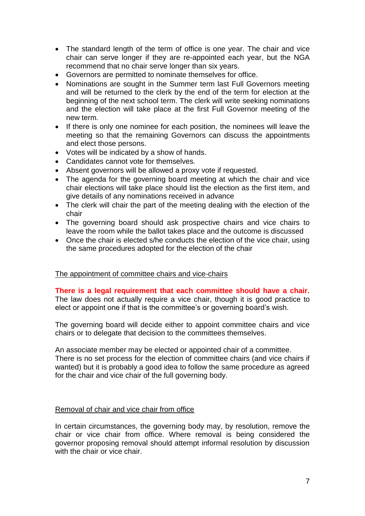- The standard length of the term of office is one year. The chair and vice chair can serve longer if they are re-appointed each year, but the NGA recommend that no chair serve longer than six years.
- Governors are permitted to nominate themselves for office.
- Nominations are sought in the Summer term last Full Governors meeting and will be returned to the clerk by the end of the term for election at the beginning of the next school term. The clerk will write seeking nominations and the election will take place at the first Full Governor meeting of the new term.
- If there is only one nominee for each position, the nominees will leave the meeting so that the remaining Governors can discuss the appointments and elect those persons.
- Votes will be indicated by a show of hands.
- Candidates cannot vote for themselves.
- Absent governors will be allowed a proxy vote if requested.
- The agenda for the governing board meeting at which the chair and vice chair elections will take place should list the election as the first item, and give details of any nominations received in advance
- The clerk will chair the part of the meeting dealing with the election of the chair
- The governing board should ask prospective chairs and vice chairs to leave the room while the ballot takes place and the outcome is discussed
- Once the chair is elected s/he conducts the election of the vice chair, using the same procedures adopted for the election of the chair

## The appointment of committee chairs and vice-chairs

**There is a legal requirement that each committee should have a chair.** The law does not actually require a vice chair, though it is good practice to elect or appoint one if that is the committee's or governing board's wish.

The governing board will decide either to appoint committee chairs and vice chairs or to delegate that decision to the committees themselves.

An associate member may be elected or appointed chair of a committee. There is no set process for the election of committee chairs (and vice chairs if wanted) but it is probably a good idea to follow the same procedure as agreed for the chair and vice chair of the full governing body.

#### Removal of chair and vice chair from office

In certain circumstances, the governing body may, by resolution, remove the chair or vice chair from office. Where removal is being considered the governor proposing removal should attempt informal resolution by discussion with the chair or vice chair.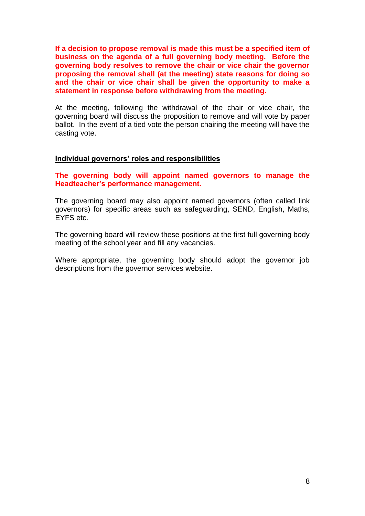**If a decision to propose removal is made this must be a specified item of business on the agenda of a full governing body meeting. Before the governing body resolves to remove the chair or vice chair the governor proposing the removal shall (at the meeting) state reasons for doing so and the chair or vice chair shall be given the opportunity to make a statement in response before withdrawing from the meeting.**

At the meeting, following the withdrawal of the chair or vice chair, the governing board will discuss the proposition to remove and will vote by paper ballot. In the event of a tied vote the person chairing the meeting will have the casting vote.

#### **Individual governors' roles and responsibilities**

**The governing body will appoint named governors to manage the Headteacher's performance management.**

The governing board may also appoint named governors (often called link governors) for specific areas such as safeguarding, SEND, English, Maths, EYFS etc.

The governing board will review these positions at the first full governing body meeting of the school year and fill any vacancies.

Where appropriate, the governing body should adopt the governor job descriptions from the governor services website.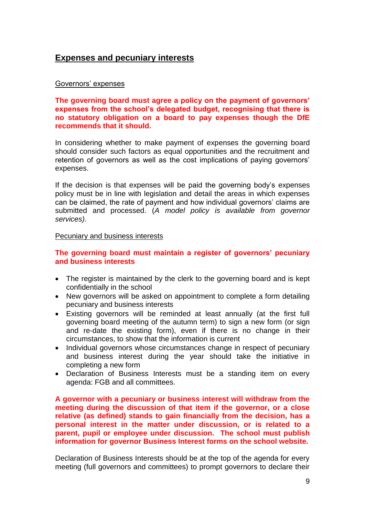# **Expenses and pecuniary interests**

## Governors' expenses

**The governing board must agree a policy on the payment of governors' expenses from the school's delegated budget, recognising that there is no statutory obligation on a board to pay expenses though the DfE recommends that it should.**

In considering whether to make payment of expenses the governing board should consider such factors as equal opportunities and the recruitment and retention of governors as well as the cost implications of paying governors' expenses.

If the decision is that expenses will be paid the governing body's expenses policy must be in line with legislation and detail the areas in which expenses can be claimed, the rate of payment and how individual governors' claims are submitted and processed. (*A model policy is available from governor services)*.

#### Pecuniary and business interests

## **The governing board must maintain a register of governors' pecuniary and business interests**

- The register is maintained by the clerk to the governing board and is kept confidentially in the school
- New governors will be asked on appointment to complete a form detailing pecuniary and business interests
- Existing governors will be reminded at least annually (at the first full governing board meeting of the autumn term) to sign a new form (or sign and re-date the existing form), even if there is no change in their circumstances, to show that the information is current
- Individual governors whose circumstances change in respect of pecuniary and business interest during the year should take the initiative in completing a new form
- Declaration of Business Interests must be a standing item on every agenda: FGB and all committees.

**A governor with a pecuniary or business interest will withdraw from the meeting during the discussion of that item if the governor, or a close relative (as defined) stands to gain financially from the decision, has a personal interest in the matter under discussion, or is related to a parent, pupil or employee under discussion. The school must publish information for governor Business Interest forms on the school website.**

Declaration of Business Interests should be at the top of the agenda for every meeting (full governors and committees) to prompt governors to declare their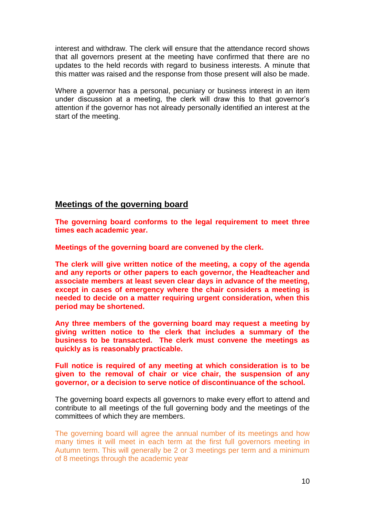interest and withdraw. The clerk will ensure that the attendance record shows that all governors present at the meeting have confirmed that there are no updates to the held records with regard to business interests. A minute that this matter was raised and the response from those present will also be made.

Where a governor has a personal, pecuniary or business interest in an item under discussion at a meeting, the clerk will draw this to that governor's attention if the governor has not already personally identified an interest at the start of the meeting.

# **Meetings of the governing board**

**The governing board conforms to the legal requirement to meet three times each academic year.**

**Meetings of the governing board are convened by the clerk.** 

**The clerk will give written notice of the meeting, a copy of the agenda and any reports or other papers to each governor, the Headteacher and associate members at least seven clear days in advance of the meeting, except in cases of emergency where the chair considers a meeting is needed to decide on a matter requiring urgent consideration, when this period may be shortened.**

**Any three members of the governing board may request a meeting by giving written notice to the clerk that includes a summary of the business to be transacted. The clerk must convene the meetings as quickly as is reasonably practicable.**

**Full notice is required of any meeting at which consideration is to be given to the removal of chair or vice chair, the suspension of any governor, or a decision to serve notice of discontinuance of the school.**

The governing board expects all governors to make every effort to attend and contribute to all meetings of the full governing body and the meetings of the committees of which they are members.

The governing board will agree the annual number of its meetings and how many times it will meet in each term at the first full governors meeting in Autumn term. This will generally be 2 or 3 meetings per term and a minimum of 8 meetings through the academic year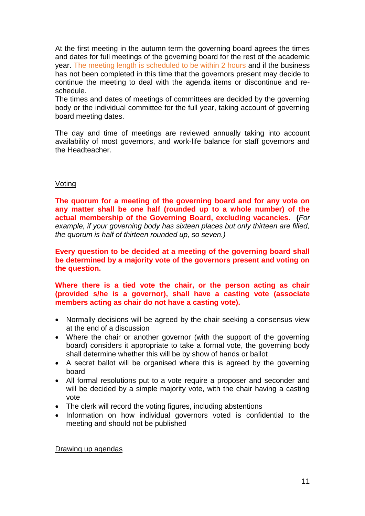At the first meeting in the autumn term the governing board agrees the times and dates for full meetings of the governing board for the rest of the academic year. The meeting length is scheduled to be within 2 hours and if the business has not been completed in this time that the governors present may decide to continue the meeting to deal with the agenda items or discontinue and reschedule.

The times and dates of meetings of committees are decided by the governing body or the individual committee for the full year, taking account of governing board meeting dates.

The day and time of meetings are reviewed annually taking into account availability of most governors, and work-life balance for staff governors and the Headteacher.

#### Voting

**The quorum for a meeting of the governing board and for any vote on any matter shall be one half (rounded up to a whole number) of the actual membership of the Governing Board, excluding vacancies. (***For example, if your governing body has sixteen places but only thirteen are filled, the quorum is half of thirteen rounded up, so seven.)*

**Every question to be decided at a meeting of the governing board shall be determined by a majority vote of the governors present and voting on the question.**

**Where there is a tied vote the chair, or the person acting as chair (provided s/he is a governor), shall have a casting vote (associate members acting as chair do not have a casting vote).**

- Normally decisions will be agreed by the chair seeking a consensus view at the end of a discussion
- Where the chair or another governor (with the support of the governing board) considers it appropriate to take a formal vote, the governing body shall determine whether this will be by show of hands or ballot
- A secret ballot will be organised where this is agreed by the governing board
- All formal resolutions put to a vote require a proposer and seconder and will be decided by a simple majority vote, with the chair having a casting vote
- The clerk will record the voting figures, including abstentions
- Information on how individual governors voted is confidential to the meeting and should not be published

#### Drawing up agendas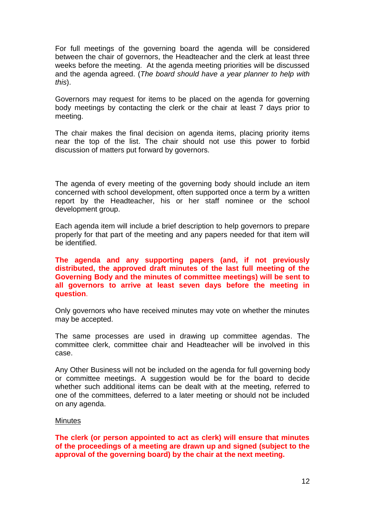For full meetings of the governing board the agenda will be considered between the chair of governors, the Headteacher and the clerk at least three weeks before the meeting. At the agenda meeting priorities will be discussed and the agenda agreed. (*The board should have a year planner to help with this*).

Governors may request for items to be placed on the agenda for governing body meetings by contacting the clerk or the chair at least 7 days prior to meeting.

The chair makes the final decision on agenda items, placing priority items near the top of the list. The chair should not use this power to forbid discussion of matters put forward by governors.

The agenda of every meeting of the governing body should include an item concerned with school development, often supported once a term by a written report by the Headteacher, his or her staff nominee or the school development group.

Each agenda item will include a brief description to help governors to prepare properly for that part of the meeting and any papers needed for that item will be identified.

**The agenda and any supporting papers (and, if not previously distributed, the approved draft minutes of the last full meeting of the Governing Body and the minutes of committee meetings) will be sent to all governors to arrive at least seven days before the meeting in question**.

Only governors who have received minutes may vote on whether the minutes may be accepted.

The same processes are used in drawing up committee agendas. The committee clerk, committee chair and Headteacher will be involved in this case.

Any Other Business will not be included on the agenda for full governing body or committee meetings. A suggestion would be for the board to decide whether such additional items can be dealt with at the meeting, referred to one of the committees, deferred to a later meeting or should not be included on any agenda.

# **Minutes**

**The clerk (or person appointed to act as clerk) will ensure that minutes of the proceedings of a meeting are drawn up and signed (subject to the approval of the governing board) by the chair at the next meeting.**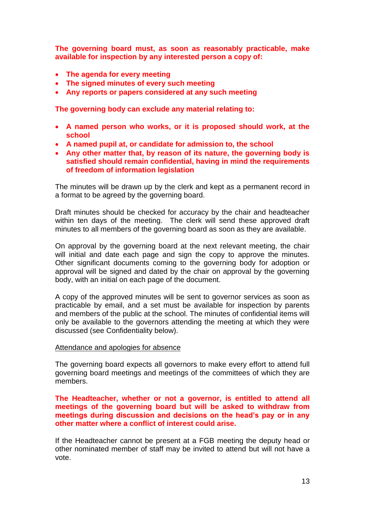**The governing board must, as soon as reasonably practicable, make available for inspection by any interested person a copy of:**

- **The agenda for every meeting**
- **The signed minutes of every such meeting**
- **Any reports or papers considered at any such meeting**

**The governing body can exclude any material relating to:**

- **A named person who works, or it is proposed should work, at the school**
- **A named pupil at, or candidate for admission to, the school**
- **Any other matter that, by reason of its nature, the governing body is satisfied should remain confidential, having in mind the requirements of freedom of information legislation**

The minutes will be drawn up by the clerk and kept as a permanent record in a format to be agreed by the governing board.

Draft minutes should be checked for accuracy by the chair and headteacher within ten days of the meeting. The clerk will send these approved draft minutes to all members of the governing board as soon as they are available.

On approval by the governing board at the next relevant meeting, the chair will initial and date each page and sign the copy to approve the minutes. Other significant documents coming to the governing body for adoption or approval will be signed and dated by the chair on approval by the governing body, with an initial on each page of the document.

A copy of the approved minutes will be sent to governor services as soon as practicable by email, and a set must be available for inspection by parents and members of the public at the school. The minutes of confidential items will only be available to the governors attending the meeting at which they were discussed (see Confidentiality below).

#### Attendance and apologies for absence

The governing board expects all governors to make every effort to attend full governing board meetings and meetings of the committees of which they are members.

**The Headteacher, whether or not a governor, is entitled to attend all meetings of the governing board but will be asked to withdraw from meetings during discussion and decisions on the head's pay or in any other matter where a conflict of interest could arise.** 

If the Headteacher cannot be present at a FGB meeting the deputy head or other nominated member of staff may be invited to attend but will not have a vote.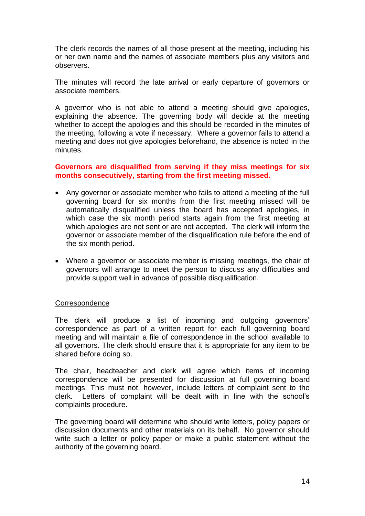The clerk records the names of all those present at the meeting, including his or her own name and the names of associate members plus any visitors and observers.

The minutes will record the late arrival or early departure of governors or associate members.

A governor who is not able to attend a meeting should give apologies, explaining the absence. The governing body will decide at the meeting whether to accept the apologies and this should be recorded in the minutes of the meeting, following a vote if necessary. Where a governor fails to attend a meeting and does not give apologies beforehand, the absence is noted in the minutes.

#### **Governors are disqualified from serving if they miss meetings for six months consecutively, starting from the first meeting missed.**

- Any governor or associate member who fails to attend a meeting of the full governing board for six months from the first meeting missed will be automatically disqualified unless the board has accepted apologies, in which case the six month period starts again from the first meeting at which apologies are not sent or are not accepted. The clerk will inform the governor or associate member of the disqualification rule before the end of the six month period.
- Where a governor or associate member is missing meetings, the chair of governors will arrange to meet the person to discuss any difficulties and provide support well in advance of possible disqualification.

## **Correspondence**

The clerk will produce a list of incoming and outgoing governors' correspondence as part of a written report for each full governing board meeting and will maintain a file of correspondence in the school available to all governors. The clerk should ensure that it is appropriate for any item to be shared before doing so.

The chair, headteacher and clerk will agree which items of incoming correspondence will be presented for discussion at full governing board meetings. This must not, however, include letters of complaint sent to the clerk. Letters of complaint will be dealt with in line with the school's complaints procedure.

The governing board will determine who should write letters, policy papers or discussion documents and other materials on its behalf. No governor should write such a letter or policy paper or make a public statement without the authority of the governing board.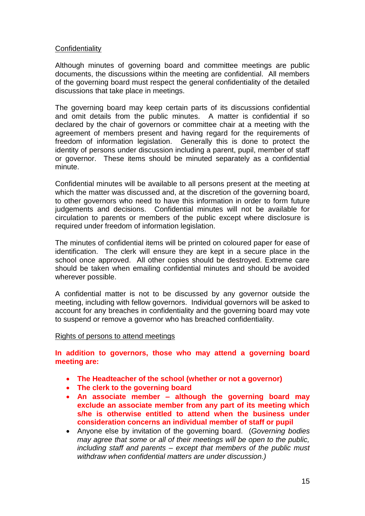## **Confidentiality**

Although minutes of governing board and committee meetings are public documents, the discussions within the meeting are confidential. All members of the governing board must respect the general confidentiality of the detailed discussions that take place in meetings.

The governing board may keep certain parts of its discussions confidential and omit details from the public minutes. A matter is confidential if so declared by the chair of governors or committee chair at a meeting with the agreement of members present and having regard for the requirements of freedom of information legislation. Generally this is done to protect the identity of persons under discussion including a parent, pupil, member of staff or governor. These items should be minuted separately as a confidential minute.

Confidential minutes will be available to all persons present at the meeting at which the matter was discussed and, at the discretion of the governing board. to other governors who need to have this information in order to form future judgements and decisions. Confidential minutes will not be available for circulation to parents or members of the public except where disclosure is required under freedom of information legislation.

The minutes of confidential items will be printed on coloured paper for ease of identification. The clerk will ensure they are kept in a secure place in the school once approved. All other copies should be destroyed. Extreme care should be taken when emailing confidential minutes and should be avoided wherever possible.

A confidential matter is not to be discussed by any governor outside the meeting, including with fellow governors. Individual governors will be asked to account for any breaches in confidentiality and the governing board may vote to suspend or remove a governor who has breached confidentiality.

#### Rights of persons to attend meetings

**In addition to governors, those who may attend a governing board meeting are:**

- **The Headteacher of the school (whether or not a governor)**
- **The clerk to the governing board**
- **An associate member – although the governing board may exclude an associate member from any part of its meeting which s/he is otherwise entitled to attend when the business under consideration concerns an individual member of staff or pupil**
- Anyone else by invitation of the governing board. (*Governing bodies may agree that some or all of their meetings will be open to the public, including staff and parents – except that members of the public must withdraw when confidential matters are under discussion.)*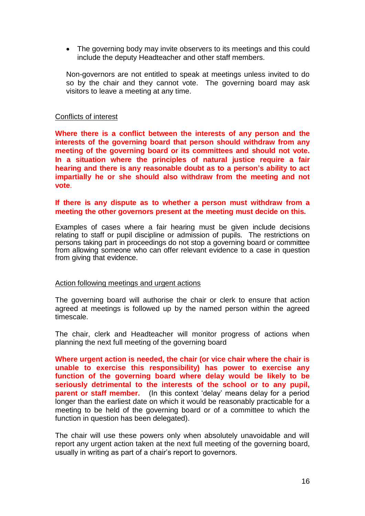• The governing body may invite observers to its meetings and this could include the deputy Headteacher and other staff members.

Non-governors are not entitled to speak at meetings unless invited to do so by the chair and they cannot vote. The governing board may ask visitors to leave a meeting at any time.

#### Conflicts of interest

**Where there is a conflict between the interests of any person and the interests of the governing board that person should withdraw from any meeting of the governing board or its committees and should not vote. In a situation where the principles of natural justice require a fair hearing and there is any reasonable doubt as to a person's ability to act impartially he or she should also withdraw from the meeting and not vote**.

#### **If there is any dispute as to whether a person must withdraw from a meeting the other governors present at the meeting must decide on this.**

Examples of cases where a fair hearing must be given include decisions relating to staff or pupil discipline or admission of pupils. The restrictions on persons taking part in proceedings do not stop a governing board or committee from allowing someone who can offer relevant evidence to a case in question from giving that evidence.

#### Action following meetings and urgent actions

The governing board will authorise the chair or clerk to ensure that action agreed at meetings is followed up by the named person within the agreed timescale.

The chair, clerk and Headteacher will monitor progress of actions when planning the next full meeting of the governing board

**Where urgent action is needed, the chair (or vice chair where the chair is unable to exercise this responsibility) has power to exercise any function of the governing board where delay would be likely to be seriously detrimental to the interests of the school or to any pupil, parent or staff member.** (In this context 'delay' means delay for a period longer than the earliest date on which it would be reasonably practicable for a meeting to be held of the governing board or of a committee to which the function in question has been delegated).

The chair will use these powers only when absolutely unavoidable and will report any urgent action taken at the next full meeting of the governing board, usually in writing as part of a chair's report to governors.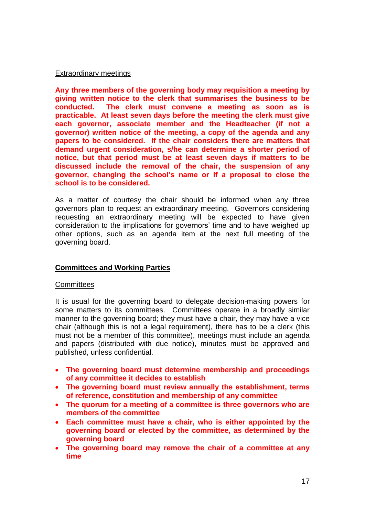## Extraordinary meetings

**Any three members of the governing body may requisition a meeting by giving written notice to the clerk that summarises the business to be conducted. The clerk must convene a meeting as soon as is practicable. At least seven days before the meeting the clerk must give each governor, associate member and the Headteacher (if not a governor) written notice of the meeting, a copy of the agenda and any papers to be considered. If the chair considers there are matters that demand urgent consideration, s/he can determine a shorter period of notice, but that period must be at least seven days if matters to be discussed include the removal of the chair, the suspension of any governor, changing the school's name or if a proposal to close the school is to be considered.**

As a matter of courtesy the chair should be informed when any three governors plan to request an extraordinary meeting. Governors considering requesting an extraordinary meeting will be expected to have given consideration to the implications for governors' time and to have weighed up other options, such as an agenda item at the next full meeting of the governing board.

## **Committees and Working Parties**

## **Committees**

It is usual for the governing board to delegate decision-making powers for some matters to its committees. Committees operate in a broadly similar manner to the governing board; they must have a chair, they may have a vice chair (although this is not a legal requirement), there has to be a clerk (this must not be a member of this committee), meetings must include an agenda and papers (distributed with due notice), minutes must be approved and published, unless confidential.

- **The governing board must determine membership and proceedings of any committee it decides to establish**
- **The governing board must review annually the establishment, terms of reference, constitution and membership of any committee**
- **The quorum for a meeting of a committee is three governors who are members of the committee**
- **Each committee must have a chair, who is either appointed by the governing board or elected by the committee, as determined by the governing board**
- **The governing board may remove the chair of a committee at any time**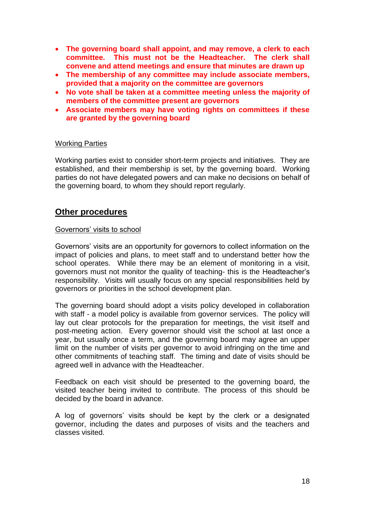- **The governing board shall appoint, and may remove, a clerk to each committee. This must not be the Headteacher. The clerk shall convene and attend meetings and ensure that minutes are drawn up**
- **The membership of any committee may include associate members, provided that a majority on the committee are governors**
- **No vote shall be taken at a committee meeting unless the majority of members of the committee present are governors**
- **Associate members may have voting rights on committees if these are granted by the governing board**

#### Working Parties

Working parties exist to consider short-term projects and initiatives. They are established, and their membership is set, by the governing board. Working parties do not have delegated powers and can make no decisions on behalf of the governing board, to whom they should report regularly.

# **Other procedures**

#### Governors' visits to school

Governors' visits are an opportunity for governors to collect information on the impact of policies and plans, to meet staff and to understand better how the school operates. While there may be an element of monitoring in a visit, governors must not monitor the quality of teaching- this is the Headteacher's responsibility. Visits will usually focus on any special responsibilities held by governors or priorities in the school development plan.

The governing board should adopt a visits policy developed in collaboration with staff - a model policy is available from governor services. The policy will lay out clear protocols for the preparation for meetings, the visit itself and post-meeting action. Every governor should visit the school at last once a year, but usually once a term, and the governing board may agree an upper limit on the number of visits per governor to avoid infringing on the time and other commitments of teaching staff. The timing and date of visits should be agreed well in advance with the Headteacher.

Feedback on each visit should be presented to the governing board, the visited teacher being invited to contribute. The process of this should be decided by the board in advance.

A log of governors' visits should be kept by the clerk or a designated governor, including the dates and purposes of visits and the teachers and classes visited.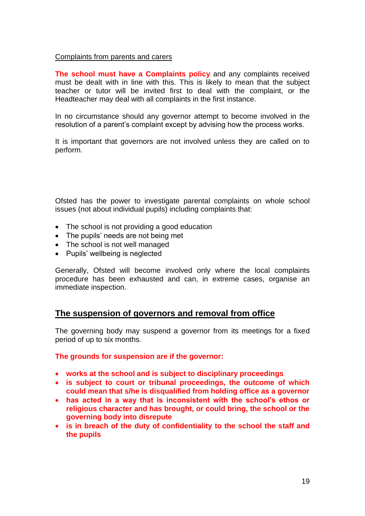## Complaints from parents and carers

**The school must have a Complaints policy** and any complaints received must be dealt with in line with this. This is likely to mean that the subject teacher or tutor will be invited first to deal with the complaint, or the Headteacher may deal with all complaints in the first instance.

In no circumstance should any governor attempt to become involved in the resolution of a parent's complaint except by advising how the process works.

It is important that governors are not involved unless they are called on to perform.

Ofsted has the power to investigate parental complaints on whole school issues (not about individual pupils) including complaints that:

- The school is not providing a good education
- The pupils' needs are not being met
- The school is not well managed
- Pupils' wellbeing is neglected

Generally, Ofsted will become involved only where the local complaints procedure has been exhausted and can, in extreme cases, organise an immediate inspection.

# **The suspension of governors and removal from office**

The governing body may suspend a governor from its meetings for a fixed period of up to six months*.* 

## **The grounds for suspension are if the governor:**

- **works at the school and is subject to disciplinary proceedings**
- **is subject to court or tribunal proceedings, the outcome of which could mean that s/he is disqualified from holding office as a governor**
- **has acted in a way that is inconsistent with the school's ethos or religious character and has brought, or could bring, the school or the governing body into disrepute**
- **is in breach of the duty of confidentiality to the school the staff and the pupils**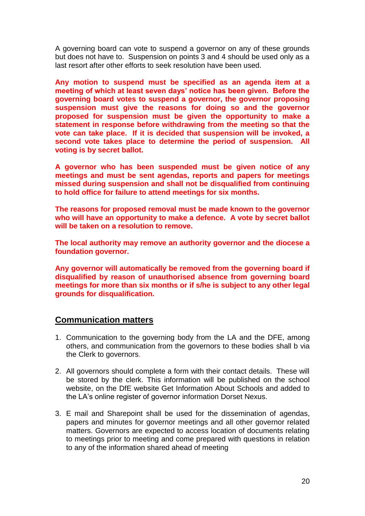A governing board can vote to suspend a governor on any of these grounds but does not have to. Suspension on points 3 and 4 should be used only as a last resort after other efforts to seek resolution have been used.

**Any motion to suspend must be specified as an agenda item at a meeting of which at least seven days' notice has been given. Before the governing board votes to suspend a governor, the governor proposing suspension must give the reasons for doing so and the governor proposed for suspension must be given the opportunity to make a statement in response before withdrawing from the meeting so that the vote can take place. If it is decided that suspension will be invoked, a second vote takes place to determine the period of suspension. All voting is by secret ballot.**

**A governor who has been suspended must be given notice of any meetings and must be sent agendas, reports and papers for meetings missed during suspension and shall not be disqualified from continuing to hold office for failure to attend meetings for six months.**

**The reasons for proposed removal must be made known to the governor who will have an opportunity to make a defence. A vote by secret ballot will be taken on a resolution to remove.** 

**The local authority may remove an authority governor and the diocese a foundation governor.**

**Any governor will automatically be removed from the governing board if disqualified by reason of unauthorised absence from governing board meetings for more than six months or if s/he is subject to any other legal grounds for disqualification.**

# **Communication matters**

- 1. Communication to the governing body from the LA and the DFE, among others, and communication from the governors to these bodies shall b via the Clerk to governors.
- 2. All governors should complete a form with their contact details. These will be stored by the clerk. This information will be published on the school website, on the DfE website Get Information About Schools and added to the LA's online register of governor information Dorset Nexus.
- 3. E mail and Sharepoint shall be used for the dissemination of agendas, papers and minutes for governor meetings and all other governor related matters. Governors are expected to access location of documents relating to meetings prior to meeting and come prepared with questions in relation to any of the information shared ahead of meeting